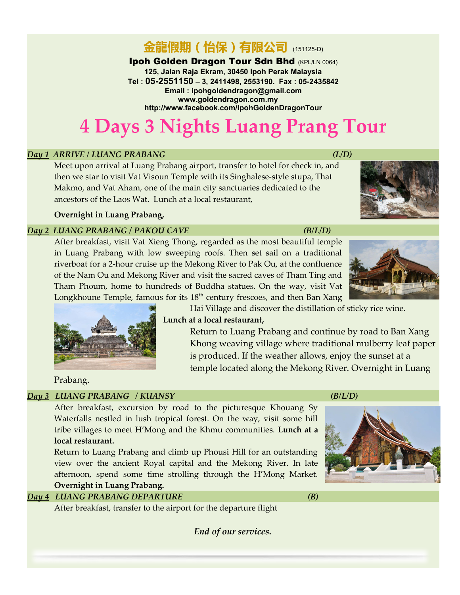in Luang Prabang with low sweeping roofs. Then set sail on a traditional riverboat for a 2-hour cruise up the Mekong River to Pak Ou, at the confluence of the Nam Ou and Mekong River and visit the sacred caves of Tham Ting and Tham Phoum, home to hundreds of Buddha statues. On the way, visit Vat Longkhoune Temple, famous for its  $18<sup>th</sup>$  century frescoes, and then Ban Xang

Hai Village and discover the distillation of sticky rice wine.

Khong weaving village where traditional mulberry leaf paper is produced. If the weather allows, enjoy the sunset at a temple located along the Mekong River. Overnight in Luang

Prabang.

### *Day 3 LUANG PRABANG / KUANSY (B/L/D)*

After breakfast, excursion by road to the picturesque Khouang Sy Waterfalls nestled in lush tropical forest. On the way, visit some hill tribe villages to meet H'Mong and the Khmu communities. **Lunch at a local restaurant.**

Return to Luang Prabang and climb up Phousi Hill for an outstanding view over the ancient Royal capital and the Mekong River. In late afternoon, spend some time strolling through the H'Mong Market. **Overnight in Luang Prabang.**

### *Day 4 LUANG PRABANG DEPARTURE (B)*

After breakfast, transfer to the airport for the departure flight

*End of our services.*

# 金龍假期(怡保)有限公司 (151125-D)

### **Ipoh Golden Dragon Tour Sdn Bhd (KPL/LN 0064)**

**125, Jalan Raja Ekram, 30450 Ipoh Perak Malaysia Tel : 05-2551150 – 3, 2411498, 2553190. Fax : 05-2435842 Email : [ipohgoldendragon@gmail.com](mailto:ipohgoldendragon@gmail.com) [www.goldendragon.com.my](http://www.goldendragon.com.my/)  <http://www.facebook.com/IpohGoldenDragonTour>**

# **4 Days 3 Nights Luang Prang Tour**

### *Day 1 ARRIVE / LUANG PRABANG (L/D)*

Meet upon arrival at Luang Prabang airport, transfer to hotel for check in, and then we star to visit Vat Visoun Temple with its Singhalese-style stupa, That Makmo, and Vat Aham, one of the main city sanctuaries dedicated to the ancestors of the Laos Wat. Lunch at a local restaurant,

#### **Overnight in Luang Prabang,**

### *Day 2 LUANG PRABANG / PAKOU CAVE (B/L/D)*

After breakfast, visit Vat Xieng Thong, regarded as the most beautiful temple

**Lunch at a local restaurant,**

Return to Luang Prabang and continue by road to Ban Xang





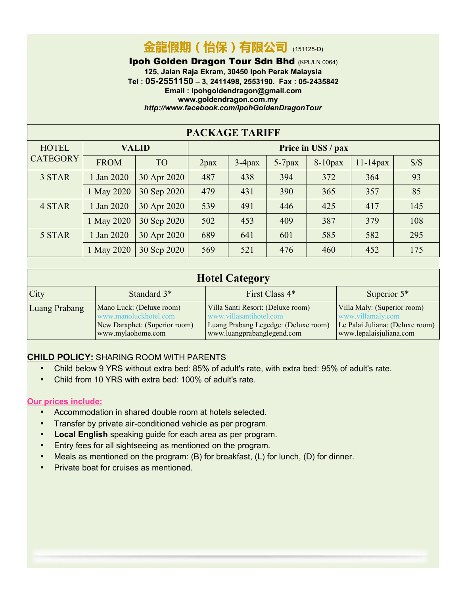# 金龍假期 ( 怡保 ) 有限公司 (151125-D)

**Ipoh Golden Dragon Tour Sdn Bhd (KPL/LN 0064)** 

**125, Jalan Raja Ekram, 30450 Ipoh Perak Malaysia Tel : 05-2551150 – 3, 2411498, 2553190. Fax : 05-2435842 Email : [ipohgoldendragon@gmail.com](mailto:ipohgoldendragon@gmail.com) [www.goldendragon.com.my](http://www.goldendragon.com.my/)**  *<http://www.facebook.com/IpohGoldenDragonTour>*

| <b>PACKAGE TARIFF</b> |             |              |                     |           |           |            |             |     |  |  |
|-----------------------|-------------|--------------|---------------------|-----------|-----------|------------|-------------|-----|--|--|
| <b>HOTEL</b>          |             | <b>VALID</b> | Price in US\$ / pax |           |           |            |             |     |  |  |
| <b>CATEGORY</b>       | <b>FROM</b> | <b>TO</b>    | 2 <sub>max</sub>    | $3-4$ pax | $5-7$ pax | $8-10$ pax | $11-14$ pax | S/S |  |  |
| 3 STAR                | Jan 2020    | 30 Apr 2020  | 487                 | 438       | 394       | 372        | 364         | 93  |  |  |
|                       | 1 May 2020  | 30 Sep 2020  | 479                 | 431       | 390       | 365        | 357         | 85  |  |  |
| 4 STAR                | Jan 2020    | 30 Apr 2020  | 539                 | 491       | 446       | 425        | 417         | 145 |  |  |
|                       | 1 May 2020  | 30 Sep 2020  | 502                 | 453       | 409       | 387        | 379         | 108 |  |  |
| 5 STAR                | Jan 2020    | 30 Apr 2020  | 689                 | 641       | 601       | 585        | 582         | 295 |  |  |
|                       | 1 May 2020  | 30 Sep 2020  | 569                 | 521       | 476       | 460        | 452         | 175 |  |  |

## **Hotel Category**

| City          | Standard 3 <sup>*</sup>       | First Class 4*                       | Superior $5*$                   |
|---------------|-------------------------------|--------------------------------------|---------------------------------|
| Luang Prabang | Mano Luck: (Deluxe room)      | Villa Santi Resort: (Deluxe room)    | Villa Maly: (Superior room)     |
|               | www.manoluckhotel.com         | www.villasantihotel.com              | www.villamaly.com               |
|               | New Daraphet: (Superior room) | Luang Prabang Legedge: (Deluxe room) | Le Palai Juliana: (Deluxe room) |
|               | www.mylaohome.com             | www.luangprabanglegend.com           | www.lepalaisjuliana.com         |

### **CHILD POLICY:** SHARING ROOM WITH PARENTS

- Child below 9 YRS without extra bed: 85% of adult's rate, with extra bed: 95% of adult's rate.
- Child from 10 YRS with extra bed: 100% of adult's rate.

### **Our prices include:**

- Accommodation in shared double room at hotels selected.
- Transfer by private air-conditioned vehicle as per program.
- **Local English** speaking guide for each area as per program.
- Entry fees for all sightseeing as mentioned on the program.
- Meals as mentioned on the program: (B) for breakfast, (L) for lunch, (D) for dinner.
- Private boat for cruises as mentioned.